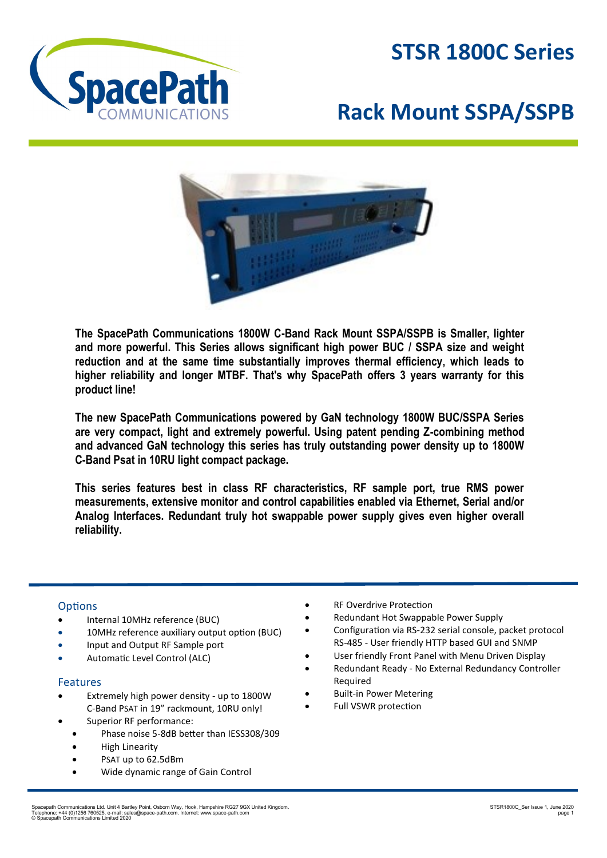

## **STSR 1800C Series**

# **Rack Mount SSPA/SSPB**



**The SpacePath Communications 1800W C-Band Rack Mount SSPA/SSPB is Smaller, lighter and more powerful. This Series allows significant high power BUC / SSPA size and weight reduction and at the same time substantially improves thermal efficiency, which leads to higher reliability and longer MTBF. That's why SpacePath offers 3 years warranty for this product line!** 

**The new SpacePath Communications powered by GaN technology 1800W BUC/SSPA Series are very compact, light and extremely powerful. Using patent pending Z-combining method and advanced GaN technology this series has truly outstanding power density up to 1800W C-Band Psat in 10RU light compact package.** 

**This series features best in class RF characteristics, RF sample port, true RMS power measurements, extensive monitor and control capabilities enabled via Ethernet, Serial and/or Analog Interfaces. Redundant truly hot swappable power supply gives even higher overall reliability.**

#### **Options**

- Internal 10MHz reference (BUC)
- 10MHz reference auxiliary output option (BUC)
- Input and Output RF Sample port
- Automatic Level Control (ALC)

#### Features

- Extremely high power density up to 1800W C-Band PSAT in 19" rackmount, 10RU only!
- Superior RF performance:
	- Phase noise 5-8dB better than IESS308/309
	- High Linearity
	- PSAT up to 62.5dBm
	- Wide dynamic range of Gain Control
- RF Overdrive Protection
- Redundant Hot Swappable Power Supply
- Configuration via RS-232 serial console, packet protocol RS-485 - User friendly HTTP based GUI and SNMP
- User friendly Front Panel with Menu Driven Display
- Redundant Ready No External Redundancy Controller Required
- **Built-in Power Metering**
- Full VSWR protection

Spacepath Communications Ltd. Unit 4 Bartley Point, Osborn Way, Hook, Hampshire RG27 9GX United Kingdom.<br>Telephone: +44 (0)1256 760525. e-mail: sales@space-path.com. Internet: www.space-path.com<br>© Spacepath Communications